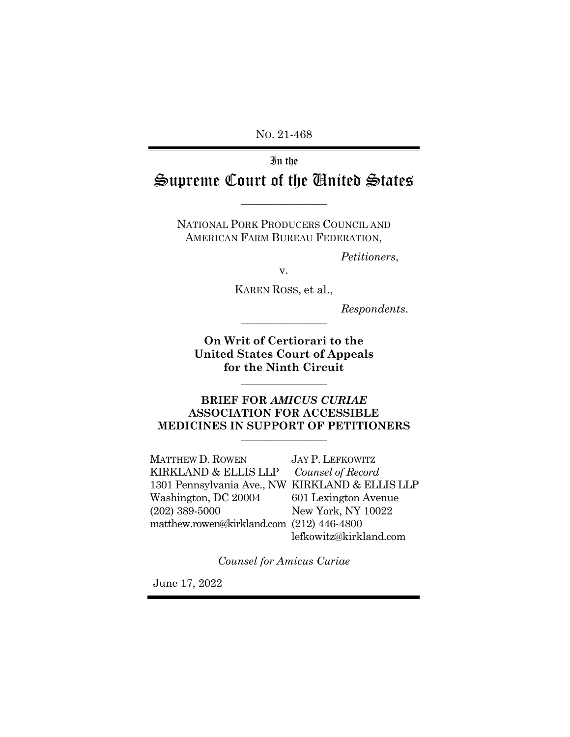NO. 21-468

# In the Supreme Court of the United States

NATIONAL PORK PRODUCERS COUNCIL AND AMERICAN FARM BUREAU FEDERATION,

 $\overline{\phantom{a}}$  , where  $\overline{\phantom{a}}$ 

*Petitioners*,

v.

KAREN ROSS, et al.,

 $Response$ *Respondents.* 

**On Writ of Certiorari to the United States Court of Appeals for the Ninth Circuit**

 $\overline{\phantom{a}}$  , where  $\overline{\phantom{a}}$ 

### **BRIEF FOR** *AMICUS CURIAE* **ASSOCIATION FOR ACCESSIBLE MEDICINES IN SUPPORT OF PETITIONERS** \_\_\_\_\_\_\_\_\_\_\_\_\_\_\_\_

MATTHEW D. ROWEN KIRKLAND & ELLIS LLP 1301 Pennsylvania Ave., NW KIRKLAND & ELLIS LLP Washington, DC 20004 (202) 389-5000 matthew.rowen@kirkland.com (212) 446-4800 JAY P. LEFKOWITZ *Counsel of Record* 601 Lexington Avenue New York, NY 10022 lefkowitz@kirkland.com

*Counsel for Amicus Curiae*

June 17, 2022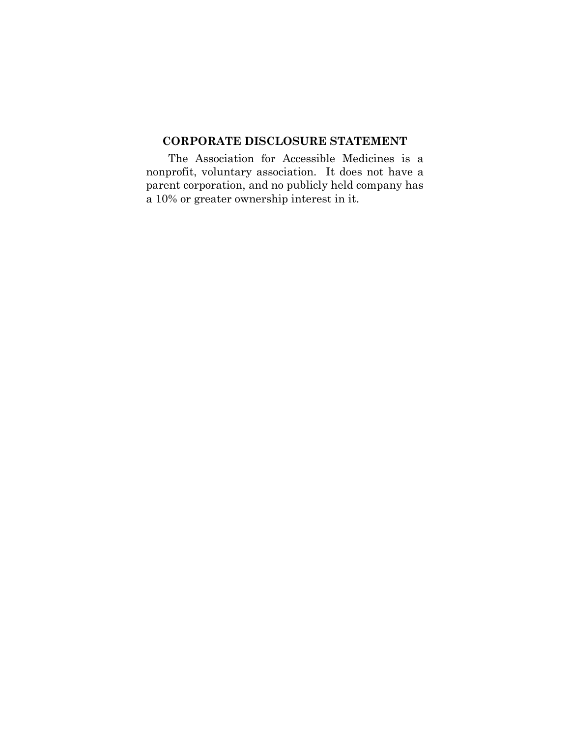# **CORPORATE DISCLOSURE STATEMENT**

The Association for Accessible Medicines is a nonprofit, voluntary association. It does not have a parent corporation, and no publicly held company has a 10% or greater ownership interest in it.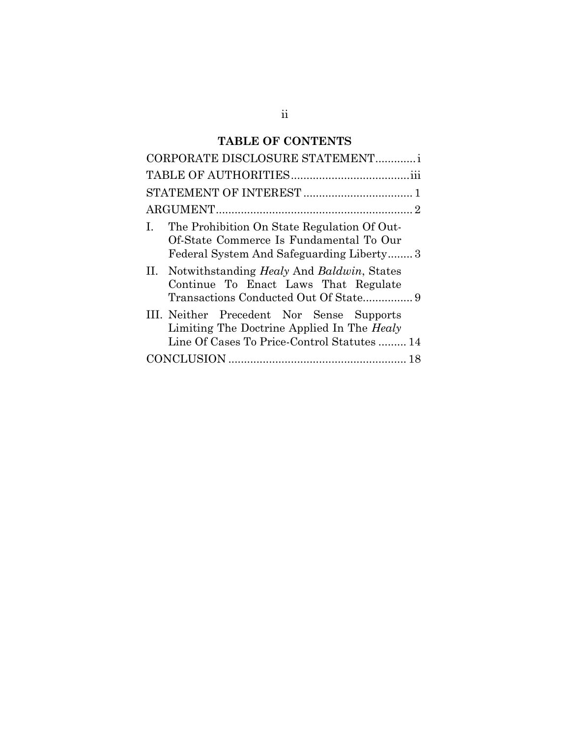# **TABLE OF CONTENTS**

| CORPORATE DISCLOSURE STATEMENTi                                                                                                               |
|-----------------------------------------------------------------------------------------------------------------------------------------------|
|                                                                                                                                               |
|                                                                                                                                               |
|                                                                                                                                               |
| The Prohibition On State Regulation Of Out-<br>Ι.<br>Of-State Commerce Is Fundamental To Our<br>Federal System And Safeguarding Liberty3      |
| II. Notwithstanding <i>Healy</i> And <i>Baldwin</i> , States<br>Continue To Enact Laws That Regulate<br>Transactions Conducted Out Of State 9 |
| III. Neither Precedent Nor Sense Supports<br>Limiting The Doctrine Applied In The Healy<br>Line Of Cases To Price-Control Statutes  14        |
|                                                                                                                                               |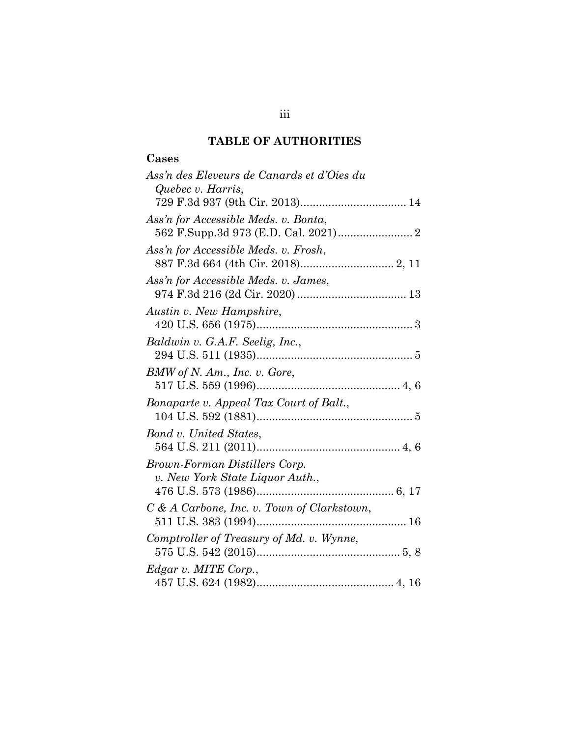# **TABLE OF AUTHORITIES**

# **Cases**

| Ass'n des Eleveurs de Canards et d'Oies du   |
|----------------------------------------------|
| Quebec v. Harris,                            |
|                                              |
| Ass'n for Accessible Meds. v. Bonta,         |
|                                              |
| Ass'n for Accessible Meds. v. Frosh,         |
|                                              |
| Ass'n for Accessible Meds. v. James,         |
|                                              |
|                                              |
| Austin v. New Hampshire,                     |
|                                              |
| Baldwin v. G.A.F. Seelig, Inc.,              |
|                                              |
| BMW of N. Am., Inc. v. Gore,                 |
|                                              |
| Bonaparte v. Appeal Tax Court of Balt.,      |
|                                              |
| Bond v. United States,                       |
|                                              |
| Brown-Forman Distillers Corp.                |
| v. New York State Liquor Auth.,              |
|                                              |
|                                              |
| $C & A$ Carbone, Inc. v. Town of Clarkstown, |
|                                              |
| Comptroller of Treasury of Md. v. Wynne,     |
|                                              |
| Edgar v. MITE Corp.,                         |
|                                              |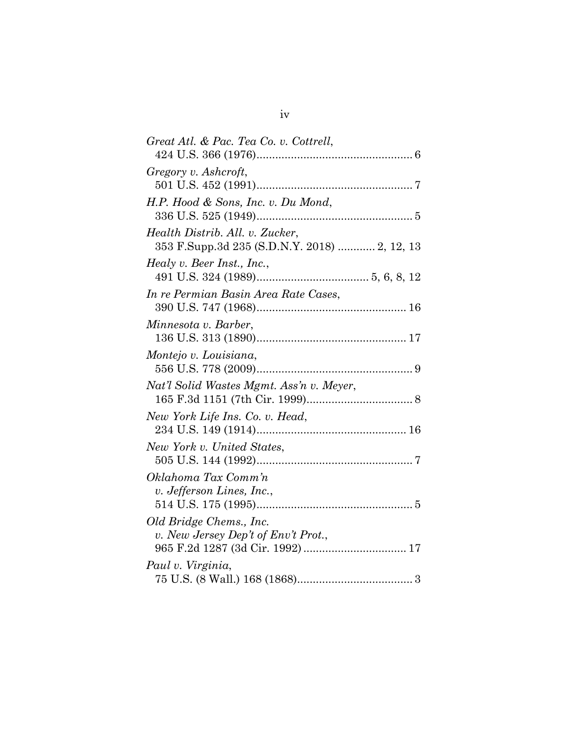| Great Atl. & Pac. Tea Co. v. Cottrell,                                          |
|---------------------------------------------------------------------------------|
| Gregory v. Ashcroft,                                                            |
| H.P. Hood & Sons, Inc. v. Du Mond,                                              |
| Health Distrib. All. v. Zucker.<br>353 F.Supp.3d 235 (S.D.N.Y. 2018)  2, 12, 13 |
| Healy v. Beer Inst., Inc.,                                                      |
| In re Permian Basin Area Rate Cases,                                            |
| Minnesota v. Barber,                                                            |
| Montejo v. Louisiana,                                                           |
| Nat'l Solid Wastes Mgmt. Ass'n v. Meyer,                                        |
| New York Life Ins. Co. v. Head,                                                 |
| New York v. United States,                                                      |
|                                                                                 |
| Oklahoma Tax Comm'n<br>v. Jefferson Lines, Inc.,                                |
| Old Bridge Chems., Inc.<br>v. New Jersey Dep't of Env't Prot.,                  |
| Paul v. Virginia,                                                               |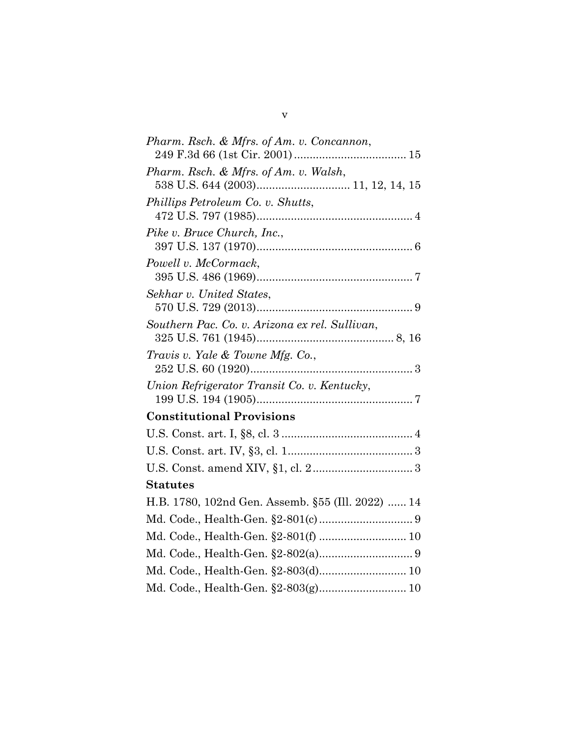| Pharm. Rsch. & Mfrs. of Am. v. Concannon,         |
|---------------------------------------------------|
| Pharm. Rsch. & Mfrs. of Am. v. Walsh,             |
| Phillips Petroleum Co. v. Shutts,                 |
| Pike v. Bruce Church, Inc.,                       |
| Powell v. McCormack,                              |
| Sekhar v. United States,                          |
| Southern Pac. Co. v. Arizona ex rel. Sullivan,    |
| Travis v. Yale & Towne Mfg. Co.,                  |
| Union Refrigerator Transit Co. v. Kentucky,       |
| <b>Constitutional Provisions</b>                  |
|                                                   |
|                                                   |
|                                                   |
| <b>Statutes</b>                                   |
| H.B. 1780, 102nd Gen. Assemb. §55 (Ill. 2022)  14 |
|                                                   |
|                                                   |
|                                                   |
|                                                   |
|                                                   |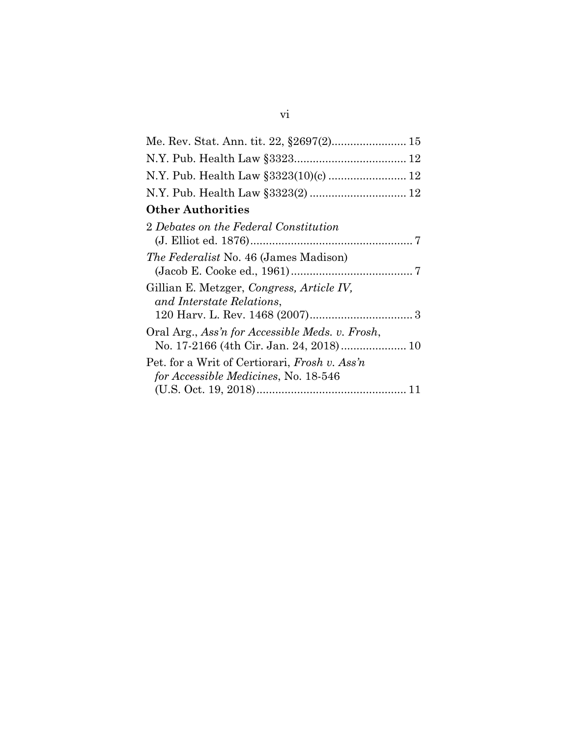| N.Y. Pub. Health Law §3323(10)(c)  12                                                 |
|---------------------------------------------------------------------------------------|
|                                                                                       |
| <b>Other Authorities</b>                                                              |
| 2 Debates on the Federal Constitution                                                 |
| <i>The Federalist</i> No. 46 (James Madison)                                          |
| Gillian E. Metzger, Congress, Article IV,<br>and Interstate Relations,                |
| Oral Arg., Ass'n for Accessible Meds. v. Frosh,                                       |
| Pet. for a Writ of Certiorari, Frosh v. Ass'n<br>for Accessible Medicines, No. 18-546 |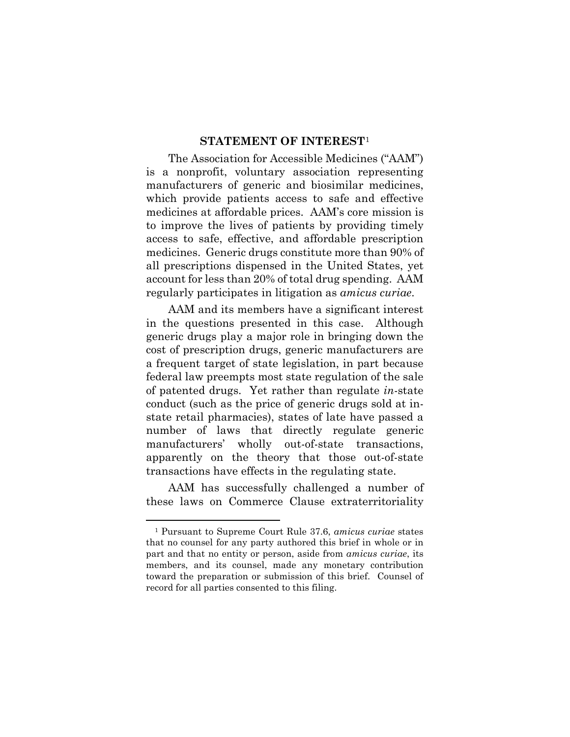### **STATEMENT OF INTEREST**[1](#page-7-0)

The Association for Accessible Medicines ("AAM") is a nonprofit, voluntary association representing manufacturers of generic and biosimilar medicines, which provide patients access to safe and effective medicines at affordable prices. AAM's core mission is to improve the lives of patients by providing timely access to safe, effective, and affordable prescription medicines. Generic drugs constitute more than 90% of all prescriptions dispensed in the United States, yet account for less than 20% of total drug spending. AAM regularly participates in litigation as *amicus curiae*.

AAM and its members have a significant interest in the questions presented in this case. Although generic drugs play a major role in bringing down the cost of prescription drugs, generic manufacturers are a frequent target of state legislation, in part because federal law preempts most state regulation of the sale of patented drugs. Yet rather than regulate *in*-state conduct (such as the price of generic drugs sold at instate retail pharmacies), states of late have passed a number of laws that directly regulate generic manufacturers' wholly out-of-state transactions, apparently on the theory that those out-of-state transactions have effects in the regulating state.

AAM has successfully challenged a number of these laws on Commerce Clause extraterritoriality

<u>.</u>

<span id="page-7-0"></span><sup>1</sup> Pursuant to Supreme Court Rule 37.6, *amicus curiae* states that no counsel for any party authored this brief in whole or in part and that no entity or person, aside from *amicus curiae*, its members, and its counsel, made any monetary contribution toward the preparation or submission of this brief. Counsel of record for all parties consented to this filing.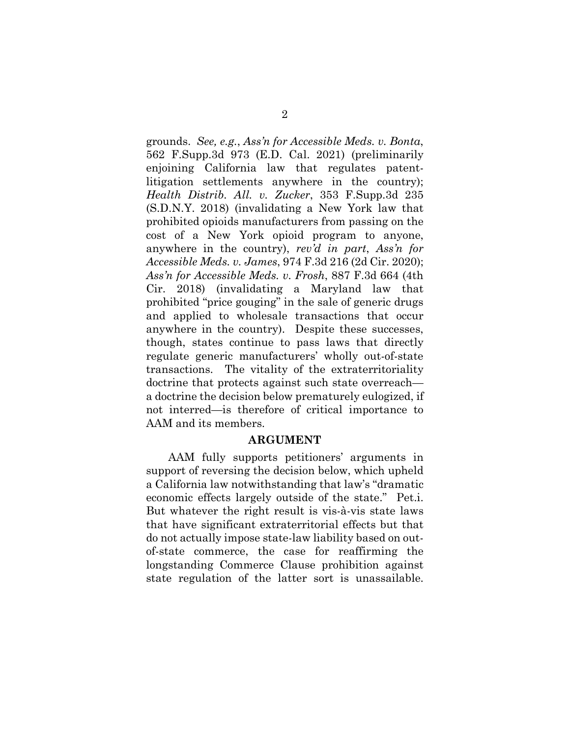grounds. *See, e.g.*, *Ass'n for Accessible Meds. v. Bonta*, 562 F.Supp.3d 973 (E.D. Cal. 2021) (preliminarily enjoining California law that regulates patentlitigation settlements anywhere in the country); *Health Distrib. All. v. Zucker*, 353 F.Supp.3d 235 (S.D.N.Y. 2018) (invalidating a New York law that prohibited opioids manufacturers from passing on the cost of a New York opioid program to anyone, anywhere in the country), *rev'd in part*, *Ass'n for Accessible Meds. v. James*, 974 F.3d 216 (2d Cir. 2020); *Ass'n for Accessible Meds. v. Frosh*, 887 F.3d 664 (4th Cir. 2018) (invalidating a Maryland law that prohibited "price gouging" in the sale of generic drugs and applied to wholesale transactions that occur anywhere in the country). Despite these successes, though, states continue to pass laws that directly regulate generic manufacturers' wholly out-of-state transactions. The vitality of the extraterritoriality doctrine that protects against such state overreach a doctrine the decision below prematurely eulogized, if not interred—is therefore of critical importance to AAM and its members.

#### **ARGUMENT**

AAM fully supports petitioners' arguments in support of reversing the decision below, which upheld a California law notwithstanding that law's "dramatic economic effects largely outside of the state." Pet.i. But whatever the right result is vis-à-vis state laws that have significant extraterritorial effects but that do not actually impose state-law liability based on outof-state commerce, the case for reaffirming the longstanding Commerce Clause prohibition against state regulation of the latter sort is unassailable.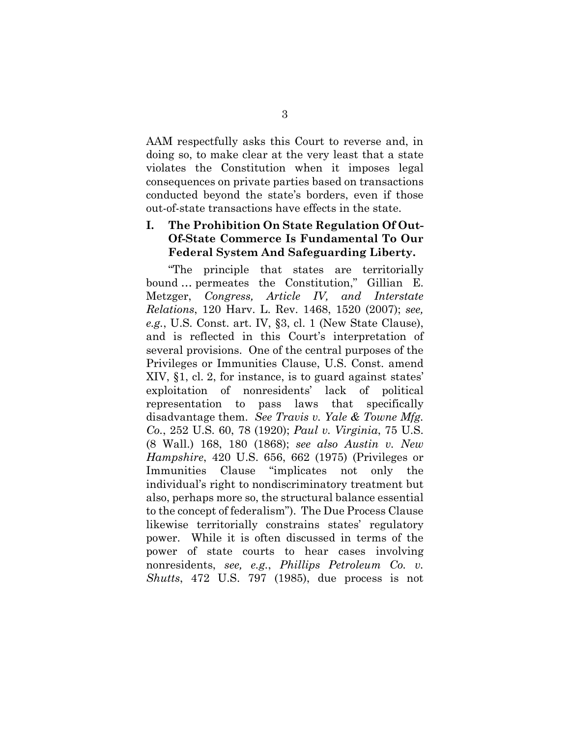AAM respectfully asks this Court to reverse and, in doing so, to make clear at the very least that a state violates the Constitution when it imposes legal consequences on private parties based on transactions conducted beyond the state's borders, even if those out-of-state transactions have effects in the state.

# **I. The Prohibition On State Regulation Of Out-Of-State Commerce Is Fundamental To Our Federal System And Safeguarding Liberty.**

"The principle that states are territorially bound … permeates the Constitution," Gillian E. Metzger, *Congress, Article IV, and Interstate Relations*, 120 Harv. L. Rev. 1468, 1520 (2007); *see, e.g.*, U.S. Const. art. IV, §3, cl. 1 (New State Clause), and is reflected in this Court's interpretation of several provisions. One of the central purposes of the Privileges or Immunities Clause, U.S. Const. amend XIV, §1, cl. 2, for instance, is to guard against states' exploitation of nonresidents' lack of political representation to pass laws that specifically disadvantage them. *See Travis v. Yale & Towne Mfg. Co.*, 252 U.S. 60, 78 (1920); *Paul v. Virginia*, 75 U.S. (8 Wall.) 168, 180 (1868); *see also Austin v. New Hampshire*, 420 U.S. 656, 662 (1975) (Privileges or Immunities Clause "implicates not only the individual's right to nondiscriminatory treatment but also, perhaps more so, the structural balance essential to the concept of federalism"). The Due Process Clause likewise territorially constrains states' regulatory power. While it is often discussed in terms of the power of state courts to hear cases involving nonresidents, *see, e.g.*, *Phillips Petroleum Co. v. Shutts*, 472 U.S. 797 (1985), due process is not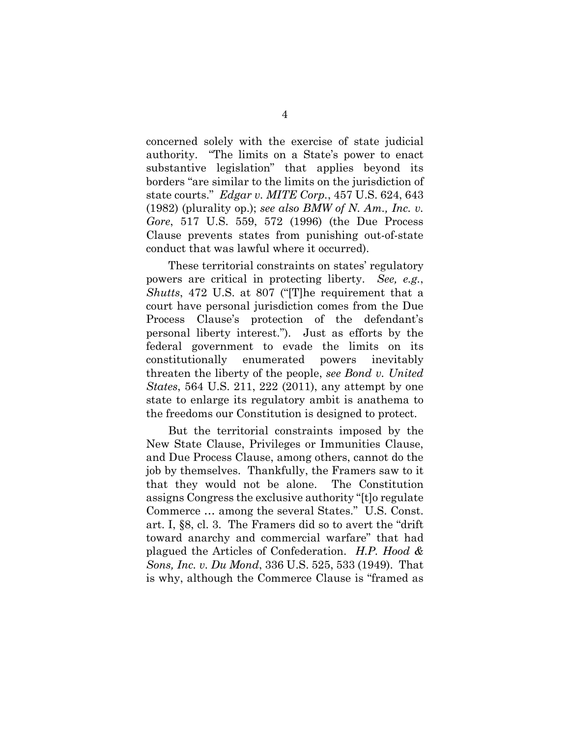concerned solely with the exercise of state judicial authority. "The limits on a State's power to enact substantive legislation" that applies beyond its borders "are similar to the limits on the jurisdiction of state courts." *Edgar v. MITE Corp.*, 457 U.S. 624, 643 (1982) (plurality op.); *see also BMW of N. Am., Inc. v. Gore*, 517 U.S. 559, 572 (1996) (the Due Process Clause prevents states from punishing out-of-state conduct that was lawful where it occurred).

These territorial constraints on states' regulatory powers are critical in protecting liberty. *See, e.g.*, *Shutts*, 472 U.S. at 807 ("[T]he requirement that a court have personal jurisdiction comes from the Due Process Clause's protection of the defendant's personal liberty interest."). Just as efforts by the federal government to evade the limits on its constitutionally enumerated powers inevitably threaten the liberty of the people, *see Bond v. United States*, 564 U.S. 211, 222 (2011), any attempt by one state to enlarge its regulatory ambit is anathema to the freedoms our Constitution is designed to protect.

But the territorial constraints imposed by the New State Clause, Privileges or Immunities Clause, and Due Process Clause, among others, cannot do the job by themselves. Thankfully, the Framers saw to it that they would not be alone. The Constitution assigns Congress the exclusive authority "[t]o regulate Commerce … among the several States." U.S. Const. art. I, §8, cl. 3. The Framers did so to avert the "drift toward anarchy and commercial warfare" that had plagued the Articles of Confederation. *H.P. Hood & Sons, Inc. v. Du Mond*, 336 U.S. 525, 533 (1949). That is why, although the Commerce Clause is "framed as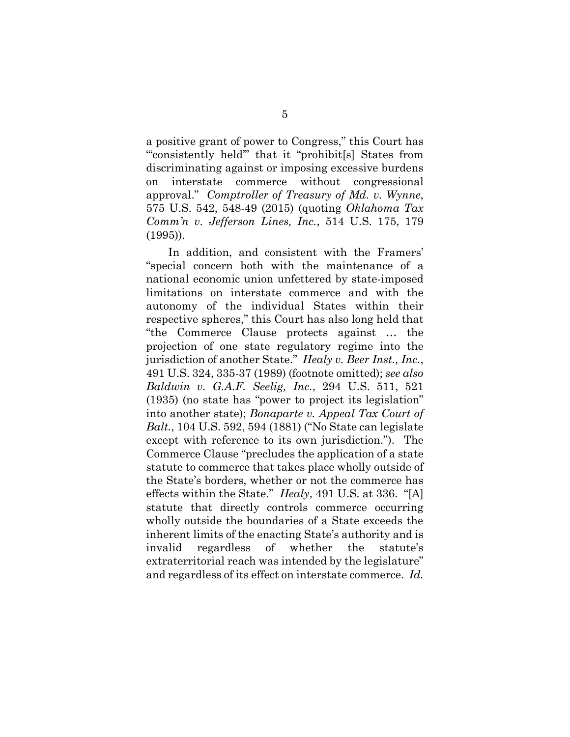a positive grant of power to Congress," this Court has "'consistently held'" that it "prohibit[s] States from discriminating against or imposing excessive burdens on interstate commerce without congressional approval." *Comptroller of Treasury of Md. v. Wynne*, 575 U.S. 542, 548-49 (2015) (quoting *Oklahoma Tax Comm'n v. Jefferson Lines, Inc.*, 514 U.S. 175, 179 (1995)).

In addition, and consistent with the Framers' "special concern both with the maintenance of a national economic union unfettered by state-imposed limitations on interstate commerce and with the autonomy of the individual States within their respective spheres," this Court has also long held that "the Commerce Clause protects against … the projection of one state regulatory regime into the jurisdiction of another State." *Healy v. Beer Inst., Inc.*, 491 U.S. 324, 335-37 (1989) (footnote omitted); *see also Baldwin v. G.A.F. Seelig, Inc.*, 294 U.S. 511, 521 (1935) (no state has "power to project its legislation" into another state); *Bonaparte v. Appeal Tax Court of Balt.*, 104 U.S. 592, 594 (1881) ("No State can legislate except with reference to its own jurisdiction."). The Commerce Clause "precludes the application of a state statute to commerce that takes place wholly outside of the State's borders, whether or not the commerce has effects within the State." *Healy*, 491 U.S. at 336. "[A] statute that directly controls commerce occurring wholly outside the boundaries of a State exceeds the inherent limits of the enacting State's authority and is invalid regardless of whether the statute's extraterritorial reach was intended by the legislature" and regardless of its effect on interstate commerce. *Id.*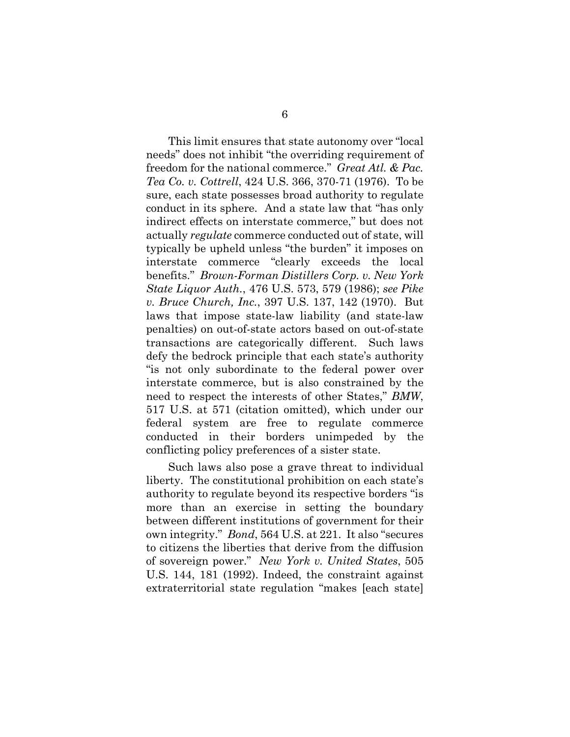This limit ensures that state autonomy over "local needs" does not inhibit "the overriding requirement of freedom for the national commerce." *Great Atl. & Pac. Tea Co. v. Cottrell*, 424 U.S. 366, 370-71 (1976). To be sure, each state possesses broad authority to regulate conduct in its sphere. And a state law that "has only indirect effects on interstate commerce," but does not actually *regulate* commerce conducted out of state, will typically be upheld unless "the burden" it imposes on interstate commerce "clearly exceeds the local benefits." *Brown-Forman Distillers Corp. v. New York State Liquor Auth.*, 476 U.S. 573, 579 (1986); *see Pike v. Bruce Church, Inc.*, 397 U.S. 137, 142 (1970). But laws that impose state-law liability (and state-law penalties) on out-of-state actors based on out-of-state transactions are categorically different. Such laws defy the bedrock principle that each state's authority "is not only subordinate to the federal power over interstate commerce, but is also constrained by the need to respect the interests of other States," *BMW*, 517 U.S. at 571 (citation omitted), which under our federal system are free to regulate commerce conducted in their borders unimpeded by the conflicting policy preferences of a sister state.

Such laws also pose a grave threat to individual liberty. The constitutional prohibition on each state's authority to regulate beyond its respective borders "is more than an exercise in setting the boundary between different institutions of government for their own integrity." *Bond*, 564 U.S. at 221. It also "secures to citizens the liberties that derive from the diffusion of sovereign power." *New York v. United States*, 505 U.S. 144, 181 (1992). Indeed, the constraint against extraterritorial state regulation "makes [each state]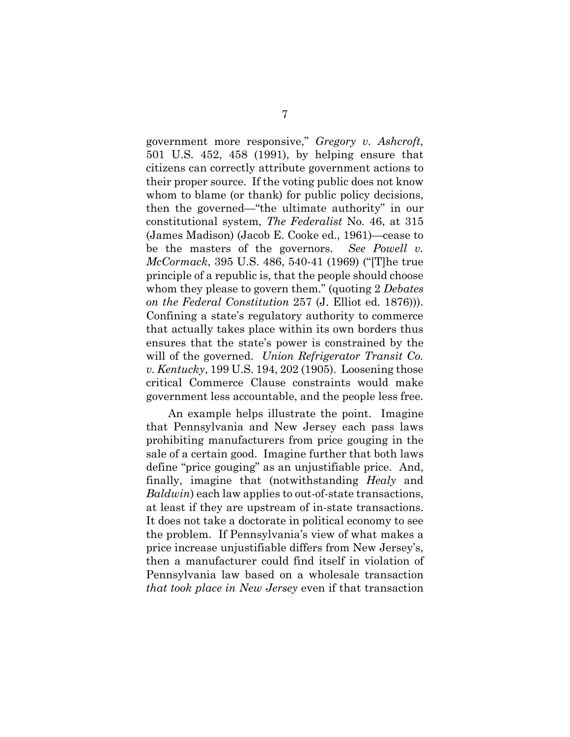government more responsive," *Gregory v. Ashcroft*, 501 U.S. 452, 458 (1991), by helping ensure that citizens can correctly attribute government actions to their proper source. If the voting public does not know whom to blame (or thank) for public policy decisions, then the governed—"the ultimate authority" in our constitutional system, *The Federalist* No. 46, at 315 (James Madison) (Jacob E. Cooke ed., 1961)—cease to be the masters of the governors. *See Powell v. McCormack*, 395 U.S. 486, 540-41 (1969) ("[T]he true principle of a republic is, that the people should choose whom they please to govern them." (quoting 2 *Debates on the Federal Constitution* 257 (J. Elliot ed. 1876))). Confining a state's regulatory authority to commerce that actually takes place within its own borders thus ensures that the state's power is constrained by the will of the governed. *Union Refrigerator Transit Co. v. Kentucky*, 199 U.S. 194, 202 (1905). Loosening those critical Commerce Clause constraints would make government less accountable, and the people less free.

An example helps illustrate the point. Imagine that Pennsylvania and New Jersey each pass laws prohibiting manufacturers from price gouging in the sale of a certain good. Imagine further that both laws define "price gouging" as an unjustifiable price. And, finally, imagine that (notwithstanding *Healy* and *Baldwin*) each law applies to out-of-state transactions, at least if they are upstream of in-state transactions. It does not take a doctorate in political economy to see the problem. If Pennsylvania's view of what makes a price increase unjustifiable differs from New Jersey's, then a manufacturer could find itself in violation of Pennsylvania law based on a wholesale transaction *that took place in New Jersey* even if that transaction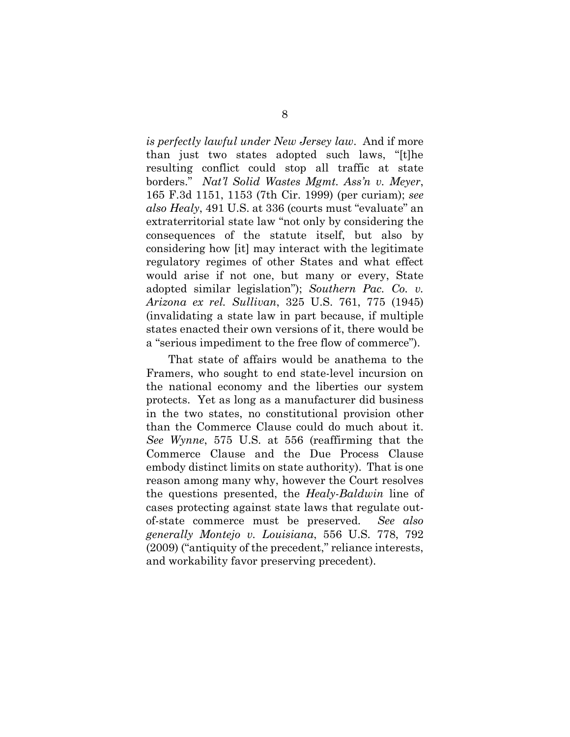*is perfectly lawful under New Jersey law*. And if more than just two states adopted such laws, "[t]he resulting conflict could stop all traffic at state borders." *Nat'l Solid Wastes Mgmt. Ass'n v. Meyer*, 165 F.3d 1151, 1153 (7th Cir. 1999) (per curiam); *see also Healy*, 491 U.S. at 336 (courts must "evaluate" an extraterritorial state law "not only by considering the consequences of the statute itself, but also by considering how [it] may interact with the legitimate regulatory regimes of other States and what effect would arise if not one, but many or every, State adopted similar legislation"); *Southern Pac. Co. v. Arizona ex rel. Sullivan*, 325 U.S. 761, 775 (1945) (invalidating a state law in part because, if multiple states enacted their own versions of it, there would be a "serious impediment to the free flow of commerce").

That state of affairs would be anathema to the Framers, who sought to end state-level incursion on the national economy and the liberties our system protects. Yet as long as a manufacturer did business in the two states, no constitutional provision other than the Commerce Clause could do much about it. *See Wynne*, 575 U.S. at 556 (reaffirming that the Commerce Clause and the Due Process Clause embody distinct limits on state authority). That is one reason among many why, however the Court resolves the questions presented, the *Healy*-*Baldwin* line of cases protecting against state laws that regulate outof-state commerce must be preserved. *See also generally Montejo v. Louisiana*, 556 U.S. 778, 792 (2009) ("antiquity of the precedent," reliance interests, and workability favor preserving precedent).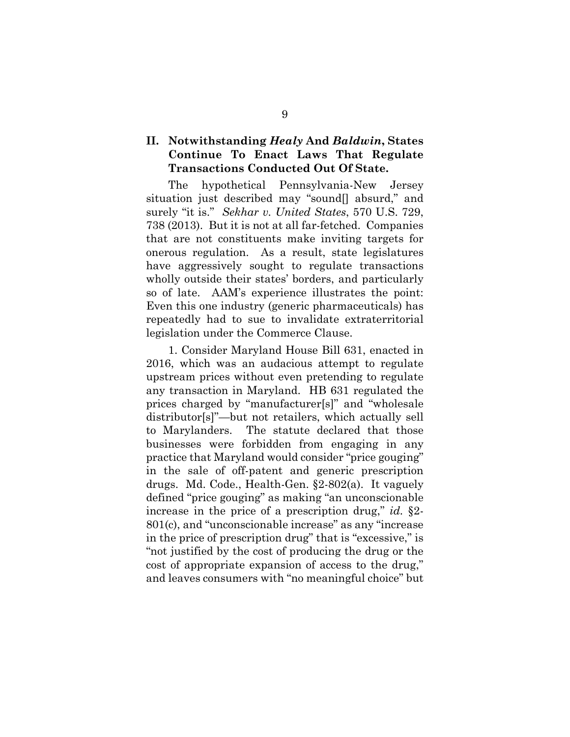# **II. Notwithstanding** *Healy* **And** *Baldwin***, States Continue To Enact Laws That Regulate Transactions Conducted Out Of State.**

The hypothetical Pennsylvania-New Jersey situation just described may "sound<sup>[]</sup> absurd," and surely "it is." *Sekhar v. United States*, 570 U.S. 729, 738 (2013). But it is not at all far-fetched. Companies that are not constituents make inviting targets for onerous regulation. As a result, state legislatures have aggressively sought to regulate transactions wholly outside their states' borders, and particularly so of late. AAM's experience illustrates the point: Even this one industry (generic pharmaceuticals) has repeatedly had to sue to invalidate extraterritorial legislation under the Commerce Clause.

1. Consider Maryland House Bill 631, enacted in 2016, which was an audacious attempt to regulate upstream prices without even pretending to regulate any transaction in Maryland. HB 631 regulated the prices charged by "manufacturer[s]" and "wholesale distributor[s]"—but not retailers, which actually sell to Marylanders. The statute declared that those businesses were forbidden from engaging in any practice that Maryland would consider "price gouging" in the sale of off-patent and generic prescription drugs. Md. Code., Health-Gen. §2-802(a). It vaguely defined "price gouging" as making "an unconscionable increase in the price of a prescription drug," *id.* §2- 801(c), and "unconscionable increase" as any "increase in the price of prescription drug" that is "excessive," is "not justified by the cost of producing the drug or the cost of appropriate expansion of access to the drug," and leaves consumers with "no meaningful choice" but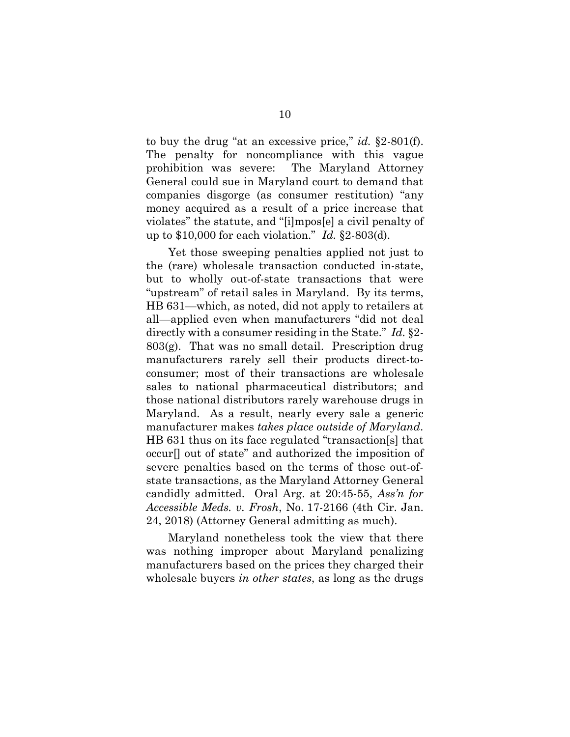to buy the drug "at an excessive price," *id.* §2-801(f). The penalty for noncompliance with this vague prohibition was severe: The Maryland Attorney General could sue in Maryland court to demand that companies disgorge (as consumer restitution) "any money acquired as a result of a price increase that violates" the statute, and "[i]mpos[e] a civil penalty of up to \$10,000 for each violation." *Id.* §2-803(d).

Yet those sweeping penalties applied not just to the (rare) wholesale transaction conducted in-state, but to wholly out-of-state transactions that were "upstream" of retail sales in Maryland. By its terms, HB 631—which, as noted, did not apply to retailers at all—applied even when manufacturers "did not deal directly with a consumer residing in the State." *Id.* §2- 803(g). That was no small detail. Prescription drug manufacturers rarely sell their products direct-toconsumer; most of their transactions are wholesale sales to national pharmaceutical distributors; and those national distributors rarely warehouse drugs in Maryland. As a result, nearly every sale a generic manufacturer makes *takes place outside of Maryland*. HB 631 thus on its face regulated "transaction[s] that occur[] out of state" and authorized the imposition of severe penalties based on the terms of those out-ofstate transactions, as the Maryland Attorney General candidly admitted. Oral Arg. at 20:45-55, *Ass'n for Accessible Meds. v. Frosh*, No. 17-2166 (4th Cir. Jan. 24, 2018) (Attorney General admitting as much).

Maryland nonetheless took the view that there was nothing improper about Maryland penalizing manufacturers based on the prices they charged their wholesale buyers *in other states*, as long as the drugs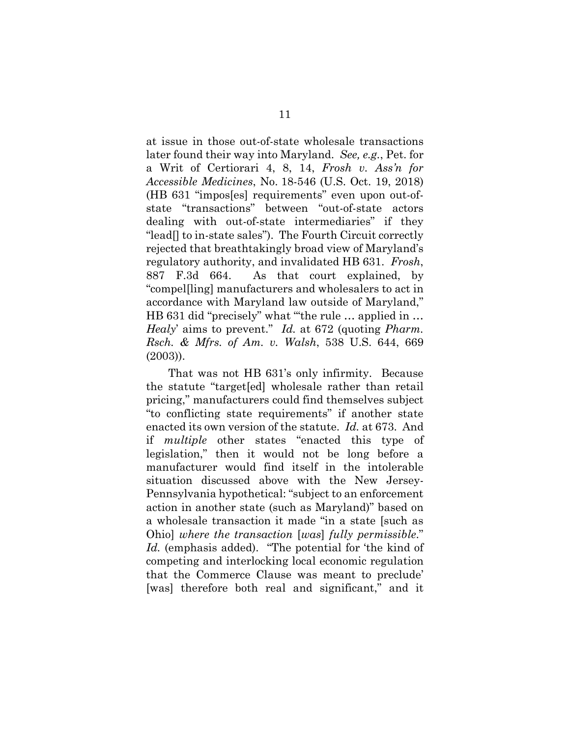at issue in those out-of-state wholesale transactions later found their way into Maryland. *See, e.g.*, Pet. for a Writ of Certiorari 4, 8, 14, *Frosh v. Ass'n for Accessible Medicines*, No. 18-546 (U.S. Oct. 19, 2018) (HB 631 "impos[es] requirements" even upon out-ofstate "transactions" between "out-of-state actors dealing with out-of-state intermediaries" if they "lead[] to in-state sales"). The Fourth Circuit correctly rejected that breathtakingly broad view of Maryland's regulatory authority, and invalidated HB 631. *Frosh*, 887 F.3d 664. As that court explained, by "compel[ling] manufacturers and wholesalers to act in accordance with Maryland law outside of Maryland," HB 631 did "precisely" what "the rule ... applied in ... *Healy*' aims to prevent." *Id.* at 672 (quoting *Pharm. Rsch. & Mfrs. of Am. v. Walsh*, 538 U.S. 644, 669 (2003)).

That was not HB 631's only infirmity. Because the statute "target[ed] wholesale rather than retail pricing," manufacturers could find themselves subject "to conflicting state requirements" if another state enacted its own version of the statute. *Id.* at 673. And if *multiple* other states "enacted this type of legislation," then it would not be long before a manufacturer would find itself in the intolerable situation discussed above with the New Jersey-Pennsylvania hypothetical: "subject to an enforcement action in another state (such as Maryland)" based on a wholesale transaction it made "in a state [such as Ohio] *where the transaction* [*was*] *fully permissible*." *Id.* (emphasis added). "The potential for 'the kind of competing and interlocking local economic regulation that the Commerce Clause was meant to preclude' [was] therefore both real and significant," and it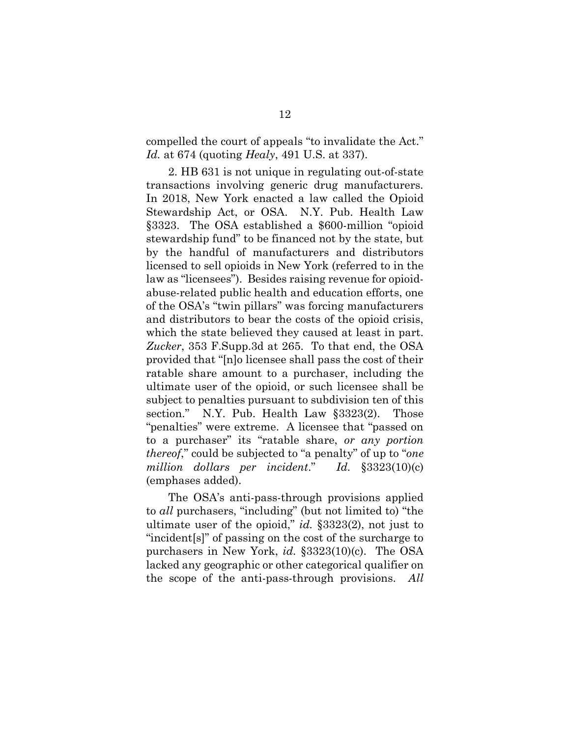compelled the court of appeals "to invalidate the Act." *Id.* at 674 (quoting *Healy*, 491 U.S. at 337).

2. HB 631 is not unique in regulating out-of-state transactions involving generic drug manufacturers. In 2018, New York enacted a law called the Opioid Stewardship Act, or OSA. N.Y. Pub. Health Law §3323. The OSA established a \$600-million "opioid stewardship fund" to be financed not by the state, but by the handful of manufacturers and distributors licensed to sell opioids in New York (referred to in the law as "licensees"). Besides raising revenue for opioidabuse-related public health and education efforts, one of the OSA's "twin pillars" was forcing manufacturers and distributors to bear the costs of the opioid crisis, which the state believed they caused at least in part. *Zucker*, 353 F.Supp.3d at 265. To that end, the OSA provided that "[n]o licensee shall pass the cost of their ratable share amount to a purchaser, including the ultimate user of the opioid, or such licensee shall be subject to penalties pursuant to subdivision ten of this section." N.Y. Pub. Health Law §3323(2). Those "penalties" were extreme. A licensee that "passed on to a purchaser" its "ratable share, *or any portion thereof*," could be subjected to "a penalty" of up to "*one million dollars per incident*." *Id.* §3323(10)(c) (emphases added).

The OSA's anti-pass-through provisions applied to *all* purchasers, "including" (but not limited to) "the ultimate user of the opioid," *id.* §3323(2), not just to "incident[s]" of passing on the cost of the surcharge to purchasers in New York, *id.* §3323(10)(c). The OSA lacked any geographic or other categorical qualifier on the scope of the anti-pass-through provisions. *All*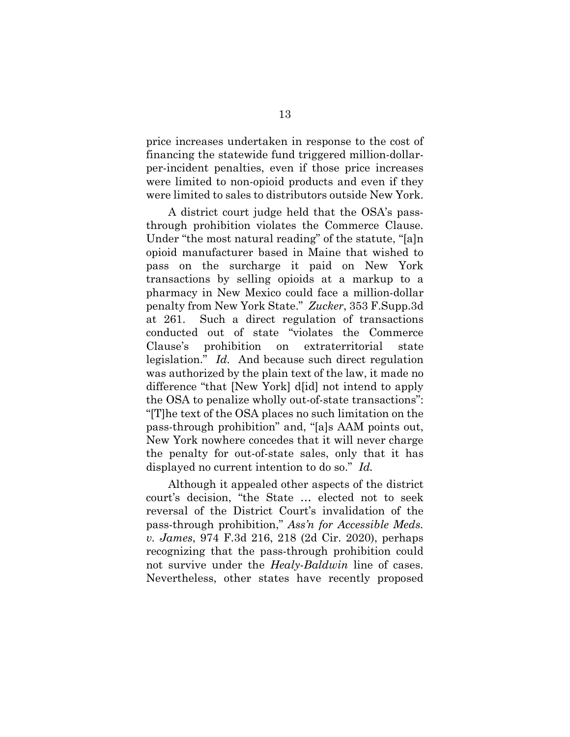price increases undertaken in response to the cost of financing the statewide fund triggered million-dollarper-incident penalties, even if those price increases were limited to non-opioid products and even if they were limited to sales to distributors outside New York.

A district court judge held that the OSA's passthrough prohibition violates the Commerce Clause. Under "the most natural reading" of the statute, "[a]n opioid manufacturer based in Maine that wished to pass on the surcharge it paid on New York transactions by selling opioids at a markup to a pharmacy in New Mexico could face a million-dollar penalty from New York State." *Zucker*, 353 F.Supp.3d at 261. Such a direct regulation of transactions conducted out of state "violates the Commerce Clause's prohibition on extraterritorial state legislation." *Id.* And because such direct regulation was authorized by the plain text of the law, it made no difference "that [New York] d[id] not intend to apply the OSA to penalize wholly out-of-state transactions": "[T]he text of the OSA places no such limitation on the pass-through prohibition" and, "[a]s AAM points out, New York nowhere concedes that it will never charge the penalty for out-of-state sales, only that it has displayed no current intention to do so." *Id.*

Although it appealed other aspects of the district court's decision, "the State … elected not to seek reversal of the District Court's invalidation of the pass-through prohibition," *Ass'n for Accessible Meds. v. James*, 974 F.3d 216, 218 (2d Cir. 2020), perhaps recognizing that the pass-through prohibition could not survive under the *Healy*-*Baldwin* line of cases. Nevertheless, other states have recently proposed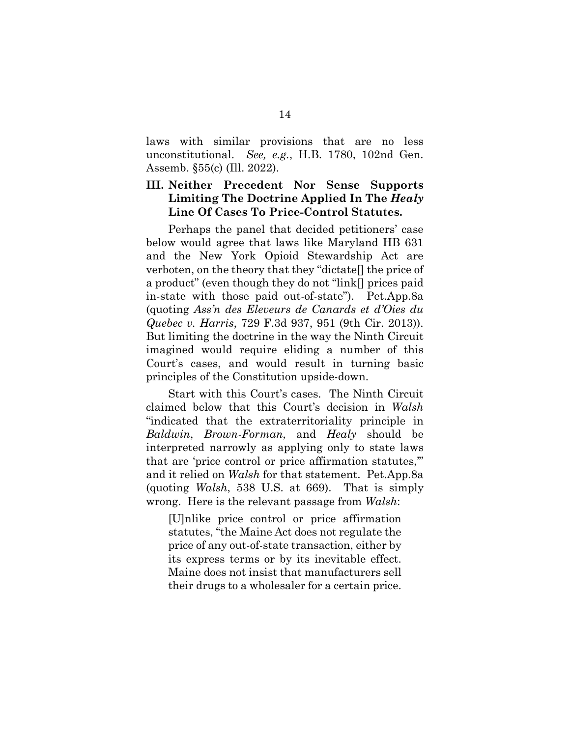laws with similar provisions that are no less unconstitutional. *See, e.g.*, H.B. 1780, 102nd Gen. Assemb. §55(c) (Ill. 2022).

### **III. Neither Precedent Nor Sense Supports Limiting The Doctrine Applied In The** *Healy* **Line Of Cases To Price-Control Statutes.**

Perhaps the panel that decided petitioners' case below would agree that laws like Maryland HB 631 and the New York Opioid Stewardship Act are verboten, on the theory that they "dictate[] the price of a product" (even though they do not "link[] prices paid in-state with those paid out-of-state"). Pet.App.8a (quoting *Ass'n des Eleveurs de Canards et d'Oies du Quebec v. Harris*, 729 F.3d 937, 951 (9th Cir. 2013)). But limiting the doctrine in the way the Ninth Circuit imagined would require eliding a number of this Court's cases, and would result in turning basic principles of the Constitution upside-down.

Start with this Court's cases. The Ninth Circuit claimed below that this Court's decision in *Walsh* "indicated that the extraterritoriality principle in *Baldwin*, *Brown-Forman*, and *Healy* should be interpreted narrowly as applying only to state laws that are 'price control or price affirmation statutes,'" and it relied on *Walsh* for that statement. Pet.App.8a (quoting *Walsh*, 538 U.S. at 669). That is simply wrong. Here is the relevant passage from *Walsh*:

[U]nlike price control or price affirmation statutes, "the Maine Act does not regulate the price of any out-of-state transaction, either by its express terms or by its inevitable effect. Maine does not insist that manufacturers sell their drugs to a wholesaler for a certain price.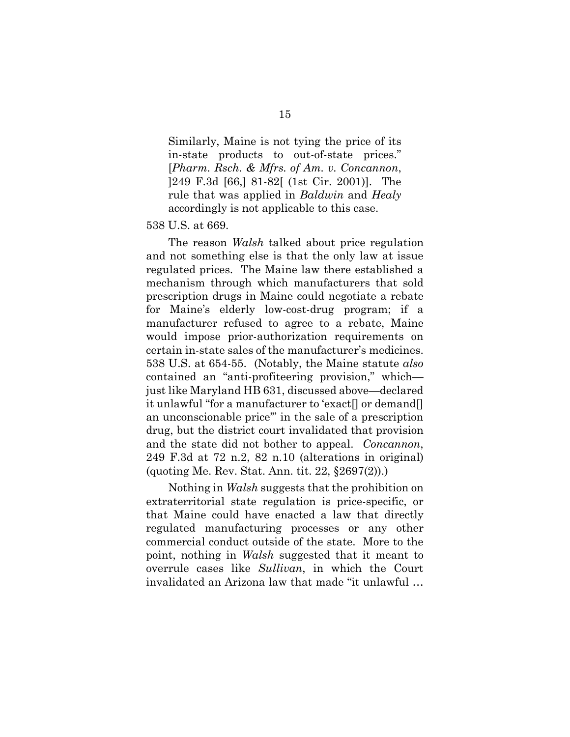Similarly, Maine is not tying the price of its in-state products to out-of-state prices." [*Pharm. Rsch. & Mfrs. of Am. v. Concannon*, ]249 F.3d [66,] 81-82[ (1st Cir. 2001)]. The rule that was applied in *Baldwin* and *Healy* accordingly is not applicable to this case.

### 538 U.S. at 669.

The reason *Walsh* talked about price regulation and not something else is that the only law at issue regulated prices. The Maine law there established a mechanism through which manufacturers that sold prescription drugs in Maine could negotiate a rebate for Maine's elderly low-cost-drug program; if a manufacturer refused to agree to a rebate, Maine would impose prior-authorization requirements on certain in-state sales of the manufacturer's medicines. 538 U.S. at 654-55. (Notably, the Maine statute *also* contained an "anti-profiteering provision," which just like Maryland HB 631, discussed above—declared it unlawful "for a manufacturer to 'exact[] or demand[] an unconscionable price'" in the sale of a prescription drug, but the district court invalidated that provision and the state did not bother to appeal. *Concannon*, 249 F.3d at 72 n.2, 82 n.10 (alterations in original) (quoting Me. Rev. Stat. Ann. tit. 22, §2697(2)).)

Nothing in *Walsh* suggests that the prohibition on extraterritorial state regulation is price-specific, or that Maine could have enacted a law that directly regulated manufacturing processes or any other commercial conduct outside of the state. More to the point, nothing in *Walsh* suggested that it meant to overrule cases like *Sullivan*, in which the Court invalidated an Arizona law that made "it unlawful …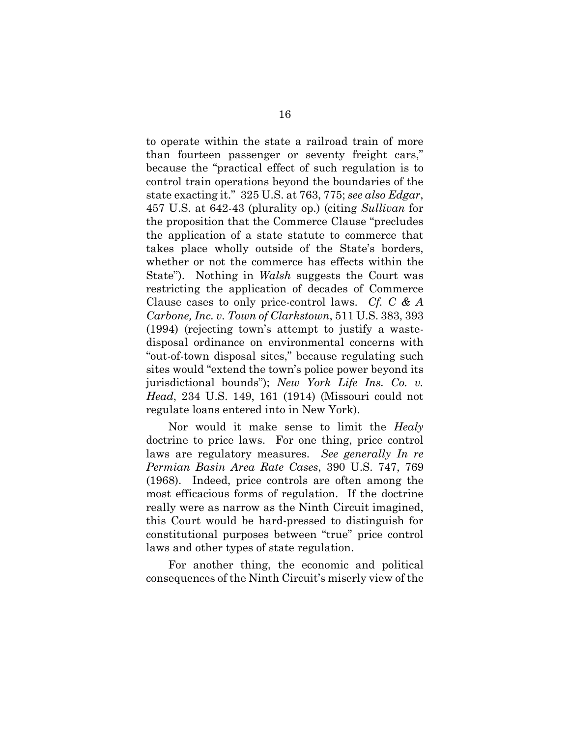to operate within the state a railroad train of more than fourteen passenger or seventy freight cars," because the "practical effect of such regulation is to control train operations beyond the boundaries of the state exacting it." 325 U.S. at 763, 775; *see also Edgar*, 457 U.S. at 642-43 (plurality op.) (citing *Sullivan* for the proposition that the Commerce Clause "precludes the application of a state statute to commerce that takes place wholly outside of the State's borders, whether or not the commerce has effects within the State"). Nothing in *Walsh* suggests the Court was restricting the application of decades of Commerce Clause cases to only price-control laws. *Cf. C & A Carbone, Inc. v. Town of Clarkstown*, 511 U.S. 383, 393 (1994) (rejecting town's attempt to justify a wastedisposal ordinance on environmental concerns with "out-of-town disposal sites," because regulating such sites would "extend the town's police power beyond its jurisdictional bounds"); *New York Life Ins. Co. v. Head*, 234 U.S. 149, 161 (1914) (Missouri could not regulate loans entered into in New York).

Nor would it make sense to limit the *Healy* doctrine to price laws. For one thing, price control laws are regulatory measures. *See generally In re Permian Basin Area Rate Cases*, 390 U.S. 747, 769 (1968). Indeed, price controls are often among the most efficacious forms of regulation. If the doctrine really were as narrow as the Ninth Circuit imagined, this Court would be hard-pressed to distinguish for constitutional purposes between "true" price control laws and other types of state regulation.

For another thing, the economic and political consequences of the Ninth Circuit's miserly view of the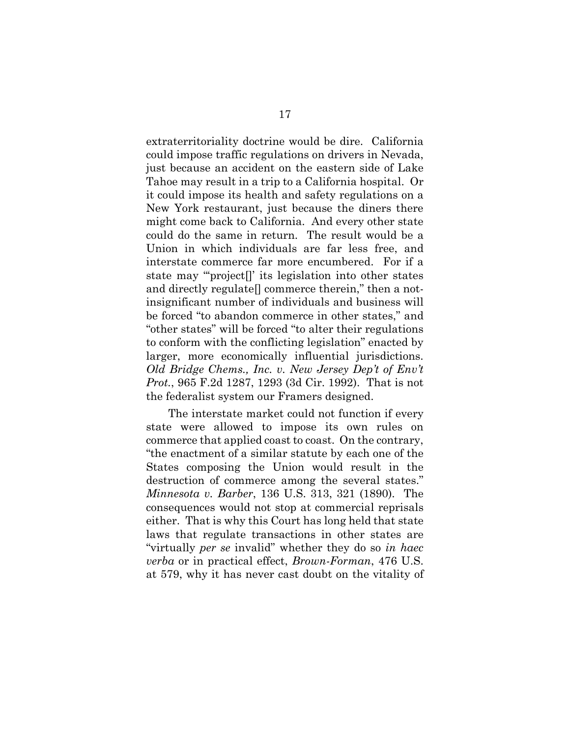extraterritoriality doctrine would be dire. California could impose traffic regulations on drivers in Nevada, just because an accident on the eastern side of Lake Tahoe may result in a trip to a California hospital. Or it could impose its health and safety regulations on a New York restaurant, just because the diners there might come back to California. And every other state could do the same in return. The result would be a Union in which individuals are far less free, and interstate commerce far more encumbered. For if a state may "'project[]' its legislation into other states and directly regulate[] commerce therein," then a notinsignificant number of individuals and business will be forced "to abandon commerce in other states," and "other states" will be forced "to alter their regulations to conform with the conflicting legislation" enacted by larger, more economically influential jurisdictions. *Old Bridge Chems., Inc. v. New Jersey Dep't of Env't Prot.*, 965 F.2d 1287, 1293 (3d Cir. 1992). That is not the federalist system our Framers designed.

The interstate market could not function if every state were allowed to impose its own rules on commerce that applied coast to coast. On the contrary, "the enactment of a similar statute by each one of the States composing the Union would result in the destruction of commerce among the several states." *Minnesota v. Barber*, 136 U.S. 313, 321 (1890). The consequences would not stop at commercial reprisals either. That is why this Court has long held that state laws that regulate transactions in other states are "virtually *per se* invalid" whether they do so *in haec verba* or in practical effect, *Brown-Forman*, 476 U.S. at 579, why it has never cast doubt on the vitality of